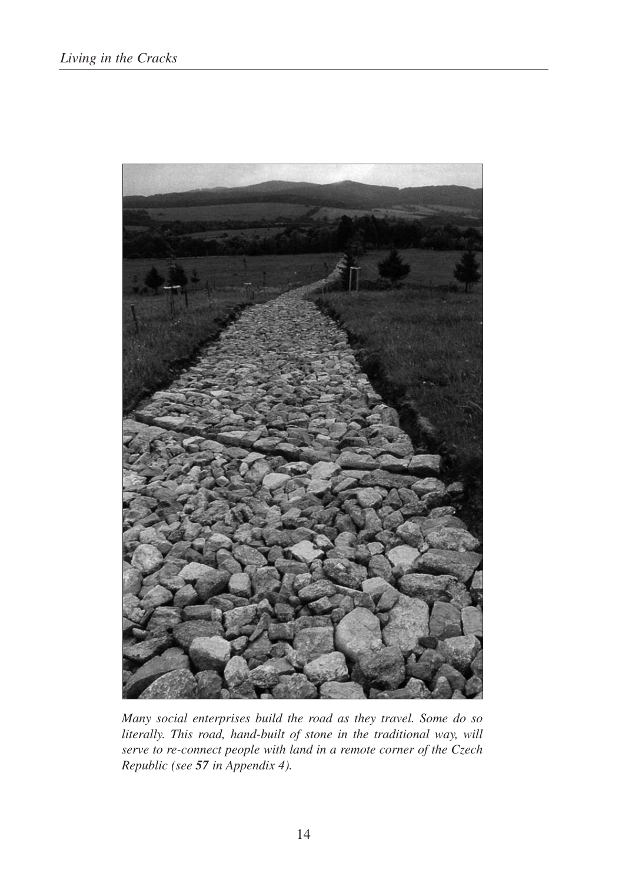

*Many social enterprises build the road as they travel. Some do so literally. This road, hand-built of stone in the traditional way, will serve to re-connect people with land in a remote corner of the Czech Republic (see 57 in Appendix 4).*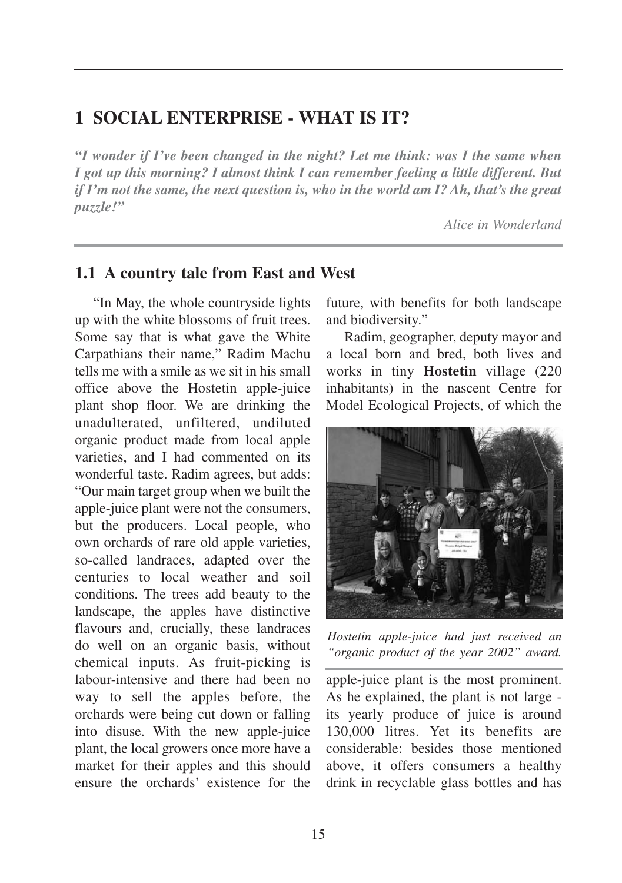# **1 SOCIAL ENTERPRISE - WHAT IS IT?**

*"I wonder if I've been changed in the night? Let me think: was I the same when I got up this morning? I almost think I can remember feeling a little different. But if I'm not the same, the next question is, who in the world am I? Ah, that's the great puzzle!"* 

*Alice in Wonderland*

### **1.1 A country tale from East and West**

"In May, the whole countryside lights up with the white blossoms of fruit trees. Some say that is what gave the White Carpathians their name," Radim Machu tells me with a smile as we sit in his small office above the Hostetin apple-juice plant shop floor. We are drinking the unadulterated, unfiltered, undiluted organic product made from local apple varieties, and I had commented on its wonderful taste. Radim agrees, but adds: "Our main target group when we built the apple-juice plant were not the consumers, but the producers. Local people, who own orchards of rare old apple varieties, so-called landraces, adapted over the centuries to local weather and soil conditions. The trees add beauty to the landscape, the apples have distinctive flavours and, crucially, these landraces do well on an organic basis, without chemical inputs. As fruit-picking is labour-intensive and there had been no way to sell the apples before, the orchards were being cut down or falling into disuse. With the new apple-juice plant, the local growers once more have a market for their apples and this should ensure the orchards' existence for the

future, with benefits for both landscape and biodiversity."

Radim, geographer, deputy mayor and a local born and bred, both lives and works in tiny **Hostetin** village (220 inhabitants) in the nascent Centre for Model Ecological Projects, of which the



*Hostetin apple-juice had just received an "organic product of the year 2002" award.*

apple-juice plant is the most prominent. As he explained, the plant is not large its yearly produce of juice is around 130,000 litres. Yet its benefits are considerable: besides those mentioned above, it offers consumers a healthy drink in recyclable glass bottles and has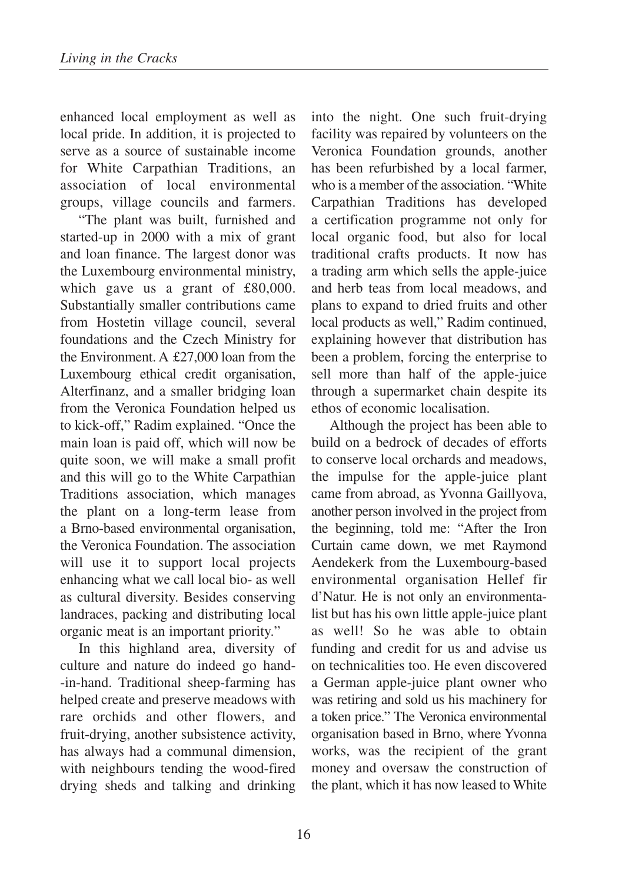enhanced local employment as well as local pride. In addition, it is projected to serve as a source of sustainable income for White Carpathian Traditions, an association of local environmental groups, village councils and farmers.

"The plant was built, furnished and started-up in 2000 with a mix of grant and loan finance. The largest donor was the Luxembourg environmental ministry, which gave us a grant of £80,000. Substantially smaller contributions came from Hostetin village council, several foundations and the Czech Ministry for the Environment. A £27,000 loan from the Luxembourg ethical credit organisation, Alterfinanz, and a smaller bridging loan from the Veronica Foundation helped us to kick-off," Radim explained. "Once the main loan is paid off, which will now be quite soon, we will make a small profit and this will go to the White Carpathian Traditions association, which manages the plant on a long-term lease from a Brno-based environmental organisation, the Veronica Foundation. The association will use it to support local projects enhancing what we call local bio- as well as cultural diversity. Besides conserving landraces, packing and distributing local organic meat is an important priority."

In this highland area, diversity of culture and nature do indeed go hand- -in-hand. Traditional sheep-farming has helped create and preserve meadows with rare orchids and other flowers, and fruit-drying, another subsistence activity, has always had a communal dimension, with neighbours tending the wood-fired drying sheds and talking and drinking

into the night. One such fruit-drying facility was repaired by volunteers on the Veronica Foundation grounds, another has been refurbished by a local farmer, who is a member of the association. "White Carpathian Traditions has developed a certification programme not only for local organic food, but also for local traditional crafts products. It now has a trading arm which sells the apple-juice and herb teas from local meadows, and plans to expand to dried fruits and other local products as well," Radim continued, explaining however that distribution has been a problem, forcing the enterprise to sell more than half of the apple-juice through a supermarket chain despite its ethos of economic localisation.

Although the project has been able to build on a bedrock of decades of efforts to conserve local orchards and meadows, the impulse for the apple-juice plant came from abroad, as Yvonna Gaillyova, another person involved in the project from the beginning, told me: "After the Iron Curtain came down, we met Raymond Aendekerk from the Luxembourg-based environmental organisation Hellef fir d'Natur. He is not only an environmentalist but has his own little apple-juice plant as well! So he was able to obtain funding and credit for us and advise us on technicalities too. He even discovered a German apple-juice plant owner who was retiring and sold us his machinery for a token price." The Veronica environmental organisation based in Brno, where Yvonna works, was the recipient of the grant money and oversaw the construction of the plant, which it has now leased to White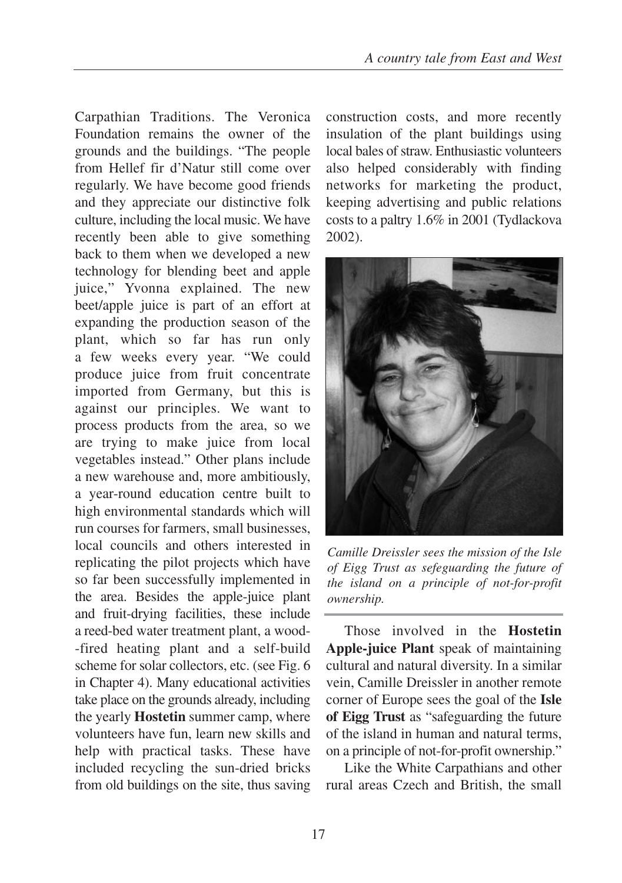Carpathian Traditions. The Veronica Foundation remains the owner of the grounds and the buildings. "The people from Hellef fir d'Natur still come over regularly. We have become good friends and they appreciate our distinctive folk culture, including the local music. We have recently been able to give something back to them when we developed a new technology for blending beet and apple juice," Yvonna explained. The new beet/apple juice is part of an effort at expanding the production season of the plant, which so far has run only a few weeks every year. "We could produce juice from fruit concentrate imported from Germany, but this is against our principles. We want to process products from the area, so we are trying to make juice from local vegetables instead." Other plans include a new warehouse and, more ambitiously, a year-round education centre built to high environmental standards which will run courses for farmers, small businesses, local councils and others interested in replicating the pilot projects which have so far been successfully implemented in the area. Besides the apple-juice plant and fruit-drying facilities, these include a reed-bed water treatment plant, a wood- -fired heating plant and a self-build scheme for solar collectors, etc. (see Fig. 6 in Chapter 4). Many educational activities take place on the grounds already, including the yearly **Hostetin** summer camp, where volunteers have fun, learn new skills and help with practical tasks. These have included recycling the sun-dried bricks from old buildings on the site, thus saving construction costs, and more recently insulation of the plant buildings using local bales of straw. Enthusiastic volunteers also helped considerably with finding networks for marketing the product, keeping advertising and public relations costs to a paltry 1.6% in 2001 (Tydlackova 2002).



*Camille Dreissler sees the mission of the Isle of Eigg Trust as sefeguarding the future of the island on a principle of not-for-profit ownership.*

Those involved in the **Hostetin Apple-juice Plant** speak of maintaining cultural and natural diversity. In a similar vein, Camille Dreissler in another remote corner of Europe sees the goal of the **Isle of Eigg Trust** as "safeguarding the future of the island in human and natural terms, on a principle of not-for-profit ownership."

Like the White Carpathians and other rural areas Czech and British, the small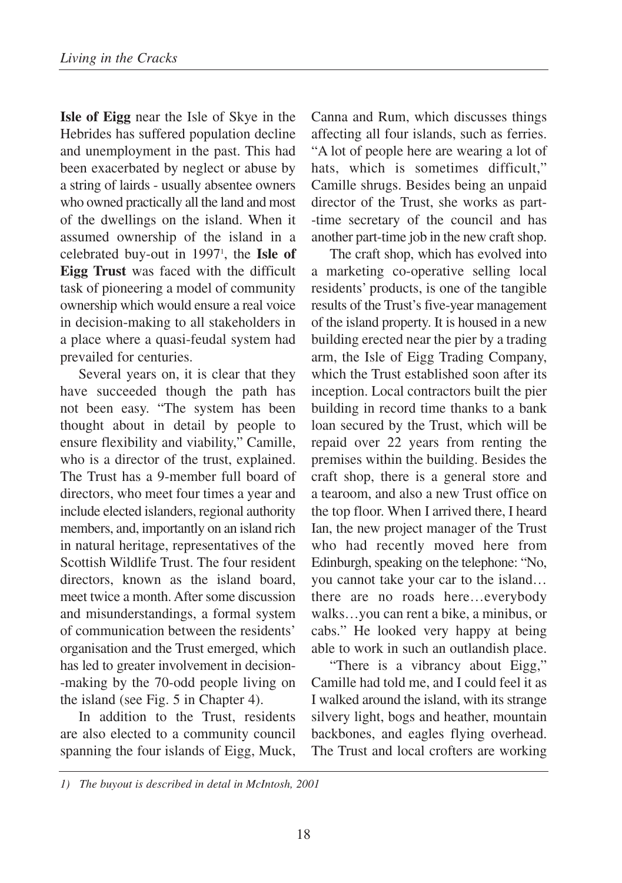**Isle of Eigg** near the Isle of Skye in the Hebrides has suffered population decline and unemployment in the past. This had been exacerbated by neglect or abuse by a string of lairds - usually absentee owners who owned practically all the land and most of the dwellings on the island. When it assumed ownership of the island in a celebrated buy-out in 19971 , the **Isle of Eigg Trust** was faced with the difficult task of pioneering a model of community ownership which would ensure a real voice in decision-making to all stakeholders in a place where a quasi-feudal system had prevailed for centuries.

Several years on, it is clear that they have succeeded though the path has not been easy. "The system has been thought about in detail by people to ensure flexibility and viability," Camille, who is a director of the trust, explained. The Trust has a 9-member full board of directors, who meet four times a year and include elected islanders, regional authority members, and, importantly on an island rich in natural heritage, representatives of the Scottish Wildlife Trust. The four resident directors, known as the island board, meet twice a month. After some discussion and misunderstandings, a formal system of communication between the residents' organisation and the Trust emerged, which has led to greater involvement in decision- -making by the 70-odd people living on the island (see Fig. 5 in Chapter 4).

In addition to the Trust, residents are also elected to a community council spanning the four islands of Eigg, Muck,

Canna and Rum, which discusses things affecting all four islands, such as ferries. "A lot of people here are wearing a lot of hats, which is sometimes difficult," Camille shrugs. Besides being an unpaid director of the Trust, she works as part- -time secretary of the council and has another part-time job in the new craft shop.

The craft shop, which has evolved into a marketing co-operative selling local residents' products, is one of the tangible results of the Trust's five-year management of the island property. It is housed in a new building erected near the pier by a trading arm, the Isle of Eigg Trading Company, which the Trust established soon after its inception. Local contractors built the pier building in record time thanks to a bank loan secured by the Trust, which will be repaid over 22 years from renting the premises within the building. Besides the craft shop, there is a general store and a tearoom, and also a new Trust office on the top floor. When I arrived there, I heard Ian, the new project manager of the Trust who had recently moved here from Edinburgh, speaking on the telephone: "No, you cannot take your car to the island… there are no roads here…everybody walks…you can rent a bike, a minibus, or cabs." He looked very happy at being able to work in such an outlandish place.

"There is a vibrancy about Eigg," Camille had told me, and I could feel it as I walked around the island, with its strange silvery light, bogs and heather, mountain backbones, and eagles flying overhead. The Trust and local crofters are working

*<sup>1)</sup> The buyout is described in detal in McIntosh, 2001*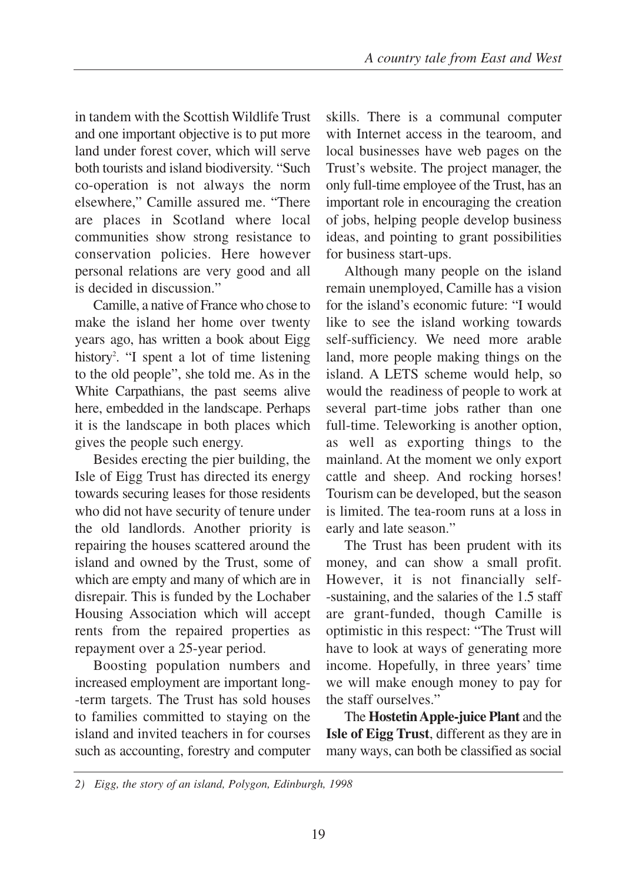in tandem with the Scottish Wildlife Trust and one important objective is to put more land under forest cover, which will serve both tourists and island biodiversity. "Such co-operation is not always the norm elsewhere," Camille assured me. "There are places in Scotland where local communities show strong resistance to conservation policies. Here however personal relations are very good and all is decided in discussion."

Camille, a native of France who chose to make the island her home over twenty years ago, has written a book about Eigg history<sup>2</sup>. "I spent a lot of time listening to the old people", she told me. As in the White Carpathians, the past seems alive here, embedded in the landscape. Perhaps it is the landscape in both places which gives the people such energy.

Besides erecting the pier building, the Isle of Eigg Trust has directed its energy towards securing leases for those residents who did not have security of tenure under the old landlords. Another priority is repairing the houses scattered around the island and owned by the Trust, some of which are empty and many of which are in disrepair. This is funded by the Lochaber Housing Association which will accept rents from the repaired properties as repayment over a 25-year period.

Boosting population numbers and increased employment are important long- -term targets. The Trust has sold houses to families committed to staying on the island and invited teachers in for courses such as accounting, forestry and computer skills. There is a communal computer with Internet access in the tearoom, and local businesses have web pages on the Trust's website. The project manager, the only full-time employee of the Trust, has an important role in encouraging the creation of jobs, helping people develop business ideas, and pointing to grant possibilities for business start-ups.

Although many people on the island remain unemployed, Camille has a vision for the island's economic future: "I would like to see the island working towards self-sufficiency. We need more arable land, more people making things on the island. A LETS scheme would help, so would the readiness of people to work at several part-time jobs rather than one full-time. Teleworking is another option, as well as exporting things to the mainland. At the moment we only export cattle and sheep. And rocking horses! Tourism can be developed, but the season is limited. The tea-room runs at a loss in early and late season."

The Trust has been prudent with its money, and can show a small profit. However, it is not financially self- -sustaining, and the salaries of the 1.5 staff are grant-funded, though Camille is optimistic in this respect: "The Trust will have to look at ways of generating more income. Hopefully, in three years' time we will make enough money to pay for the staff ourselves."

The **Hostetin Apple-juice Plant** and the **Isle of Eigg Trust**, different as they are in many ways, can both be classified as social

*<sup>2)</sup> Eigg, the story of an island, Polygon, Edinburgh, 1998*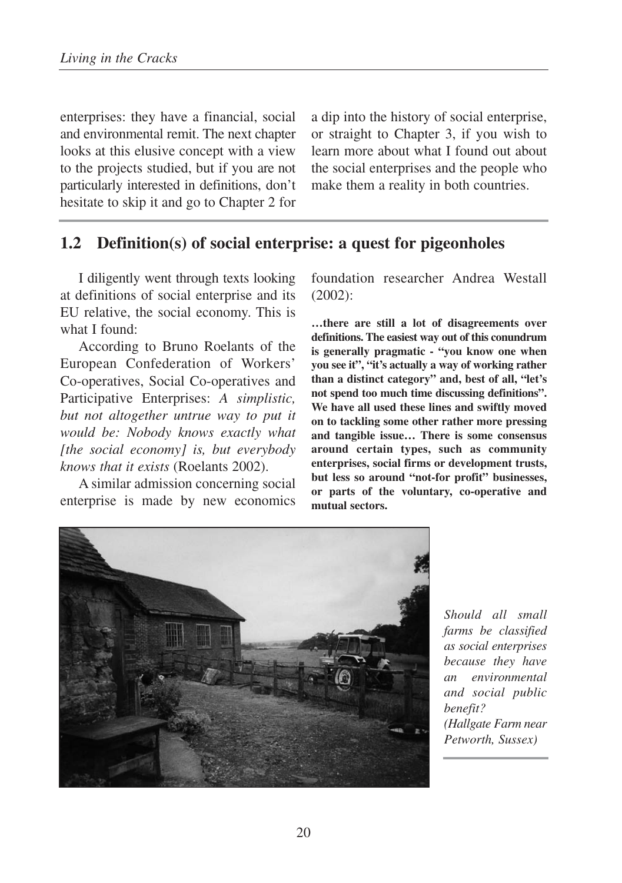enterprises: they have a financial, social and environmental remit. The next chapter looks at this elusive concept with a view to the projects studied, but if you are not particularly interested in definitions, don't hesitate to skip it and go to Chapter 2 for a dip into the history of social enterprise, or straight to Chapter 3, if you wish to learn more about what I found out about the social enterprises and the people who make them a reality in both countries.

## **1.2 Definition(s) of social enterprise: a quest for pigeonholes**

I diligently went through texts looking at definitions of social enterprise and its EU relative, the social economy. This is what I found:

According to Bruno Roelants of the European Confederation of Workers' Co-operatives, Social Co-operatives and Participative Enterprises: *A simplistic, but not altogether untrue way to put it would be: Nobody knows exactly what [the social economy] is, but everybody knows that it exists* (Roelants 2002).

A similar admission concerning social enterprise is made by new economics foundation researcher Andrea Westall (2002):

**…there are still a lot of disagreements over definitions. The easiest way out of this conundrum is generally pragmatic - "you know one when you see it", "it's actually a way of working rather than a distinct category" and, best of all, "let's not spend too much time discussing definitions". We have all used these lines and swiftly moved on to tackling some other rather more pressing and tangible issue… There is some consensus around certain types, such as community enterprises, social firms or development trusts, but less so around "not-for profit" businesses, or parts of the voluntary, co-operative and mutual sectors.** 



*Should all small farms be classified as social enterprises because they have an environmental and social public benefit? (Hallgate Farm near Petworth, Sussex)*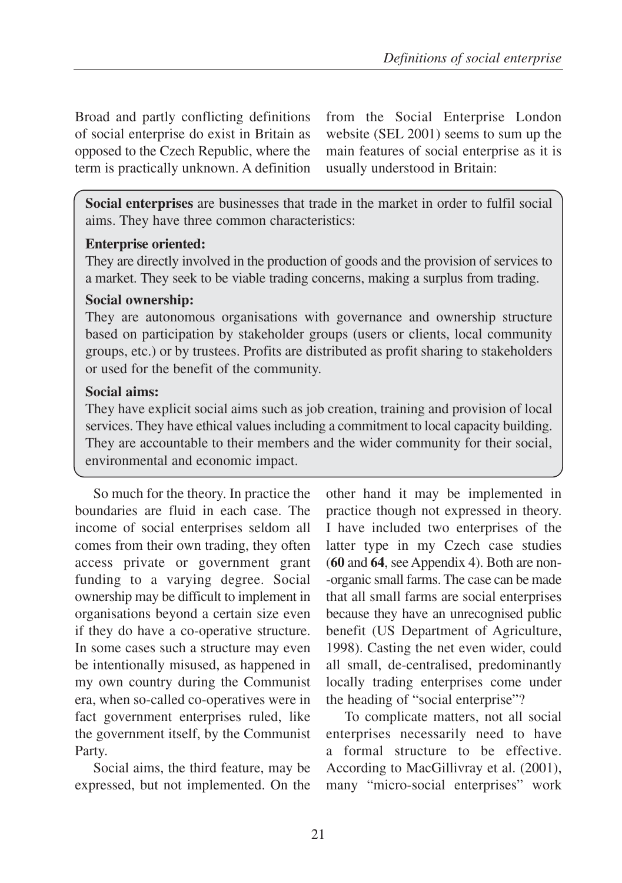Broad and partly conflicting definitions of social enterprise do exist in Britain as opposed to the Czech Republic, where the term is practically unknown. A definition from the Social Enterprise London website (SEL 2001) seems to sum up the main features of social enterprise as it is usually understood in Britain:

**Social enterprises** are businesses that trade in the market in order to fulfil social aims. They have three common characteristics:

#### **Enterprise oriented:**

They are directly involved in the production of goods and the provision of services to a market. They seek to be viable trading concerns, making a surplus from trading.

#### **Social ownership:**

They are autonomous organisations with governance and ownership structure based on participation by stakeholder groups (users or clients, local community groups, etc.) or by trustees. Profits are distributed as profit sharing to stakeholders or used for the benefit of the community.

### **Social aims:**

They have explicit social aims such as job creation, training and provision of local services. They have ethical values including a commitment to local capacity building. They are accountable to their members and the wider community for their social, environmental and economic impact.

So much for the theory. In practice the boundaries are fluid in each case. The income of social enterprises seldom all comes from their own trading, they often access private or government grant funding to a varying degree. Social ownership may be difficult to implement in organisations beyond a certain size even if they do have a co-operative structure. In some cases such a structure may even be intentionally misused, as happened in my own country during the Communist era, when so-called co-operatives were in fact government enterprises ruled, like the government itself, by the Communist Party.

Social aims, the third feature, may be expressed, but not implemented. On the other hand it may be implemented in practice though not expressed in theory. I have included two enterprises of the latter type in my Czech case studies (**60** and **64**, see Appendix 4). Both are non- -organic small farms. The case can be made that all small farms are social enterprises because they have an unrecognised public benefit (US Department of Agriculture, 1998). Casting the net even wider, could all small, de-centralised, predominantly locally trading enterprises come under the heading of "social enterprise"?

To complicate matters, not all social enterprises necessarily need to have a formal structure to be effective. According to MacGillivray et al. (2001), many "micro-social enterprises" work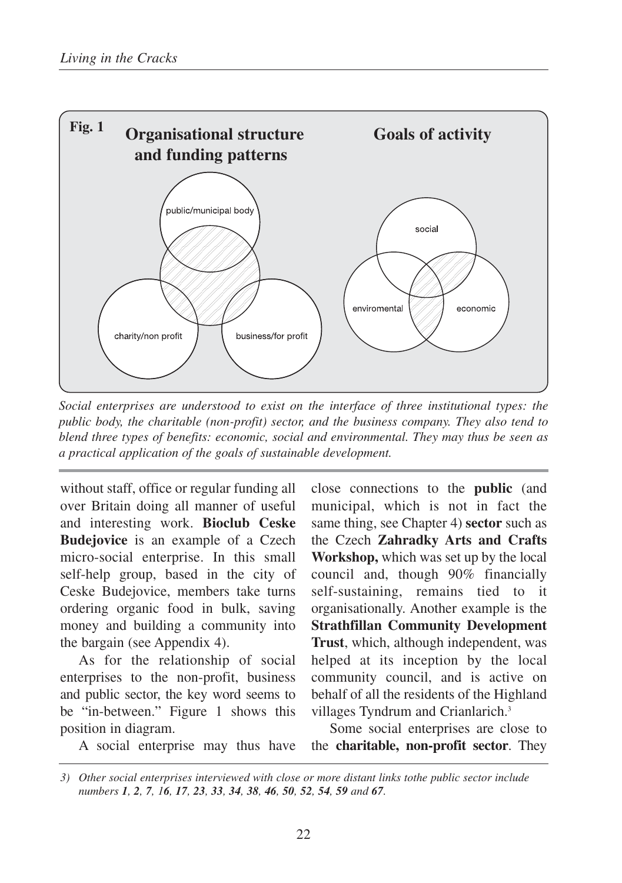

*Social enterprises are understood to exist on the interface of three institutional types: the public body, the charitable (non-profit) sector, and the business company. They also tend to blend three types of benefits: economic, social and environmental. They may thus be seen as a practical application of the goals of sustainable development.*

without staff, office or regular funding all over Britain doing all manner of useful and interesting work. **Bioclub Ceske Budejovice** is an example of a Czech micro-social enterprise. In this small self-help group, based in the city of Ceske Budejovice, members take turns ordering organic food in bulk, saving money and building a community into the bargain (see Appendix 4).

As for the relationship of social enterprises to the non-profit, business and public sector, the key word seems to be "in-between." Figure 1 shows this position in diagram.

close connections to the **public** (and municipal, which is not in fact the same thing, see Chapter 4) **sector** such as the Czech **Zahradky Arts and Crafts Workshop,** which was set up by the local council and, though 90% financially self-sustaining, remains tied to it organisationally. Another example is the **Strathfillan Community Development Trust**, which, although independent, was helped at its inception by the local community council, and is active on behalf of all the residents of the Highland villages Tyndrum and Crianlarich.<sup>3</sup>

Some social enterprises are close to the **charitable, non-profit sector**. They

A social enterprise may thus have

*<sup>3)</sup> Other social enterprises interviewed with close or more distant links tothe public sector include*  numbers 1, 2, 7, 16, 17, 23, 33, 34, 38, 46, 50, 52, 54, 59 and 67.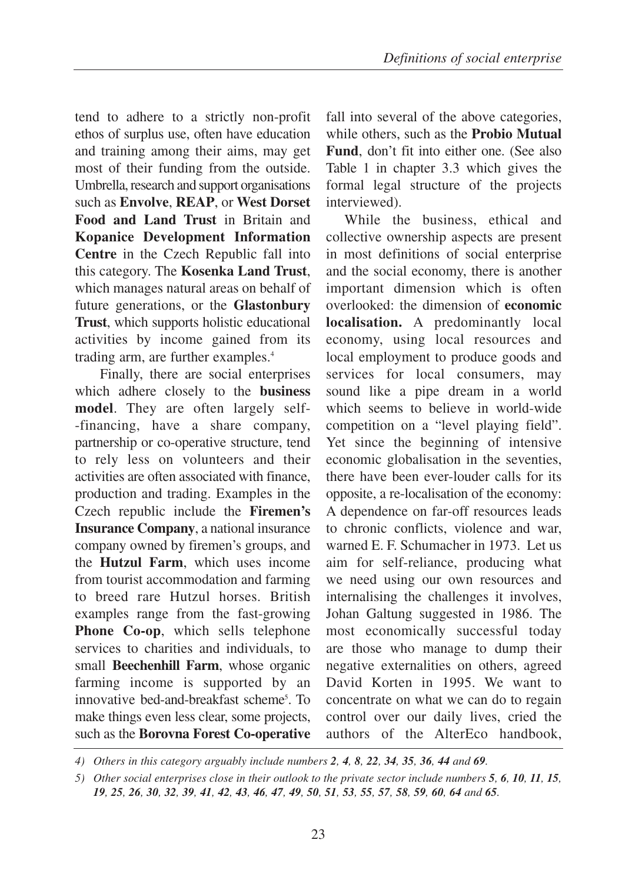tend to adhere to a strictly non-profit ethos of surplus use, often have education and training among their aims, may get most of their funding from the outside. Umbrella, research and support organisations such as **Envolve**, **REAP**, or **West Dorset Food and Land Trust** in Britain and **Kopanice Development Information Centre** in the Czech Republic fall into this category. The **Kosenka Land Trust**, which manages natural areas on behalf of future generations, or the **Glastonbury Trust**, which supports holistic educational activities by income gained from its trading arm, are further examples.<sup>4</sup>

Finally, there are social enterprises which adhere closely to the **business model**. They are often largely self- -financing, have a share company, partnership or co-operative structure, tend to rely less on volunteers and their activities are often associated with finance, production and trading. Examples in the Czech republic include the **Firemen's Insurance Company**, a national insurance company owned by firemen's groups, and the **Hutzul Farm**, which uses income from tourist accommodation and farming to breed rare Hutzul horses. British examples range from the fast-growing **Phone Co-op**, which sells telephone services to charities and individuals, to small **Beechenhill Farm**, whose organic farming income is supported by an innovative bed-and-breakfast scheme<sup>5</sup>. To make things even less clear, some projects, such as the **Borovna Forest Co-operative**

fall into several of the above categories, while others, such as the **Probio Mutual Fund**, don't fit into either one. (See also Table 1 in chapter 3.3 which gives the formal legal structure of the projects interviewed).

While the business, ethical and collective ownership aspects are present in most definitions of social enterprise and the social economy, there is another important dimension which is often overlooked: the dimension of **economic localisation.** A predominantly local economy, using local resources and local employment to produce goods and services for local consumers, may sound like a pipe dream in a world which seems to believe in world-wide competition on a "level playing field". Yet since the beginning of intensive economic globalisation in the seventies, there have been ever-louder calls for its opposite, a re-localisation of the economy: A dependence on far-off resources leads to chronic conflicts, violence and war, warned E. F. Schumacher in 1973. Let us aim for self-reliance, producing what we need using our own resources and internalising the challenges it involves, Johan Galtung suggested in 1986. The most economically successful today are those who manage to dump their negative externalities on others, agreed David Korten in 1995. We want to concentrate on what we can do to regain control over our daily lives, cried the authors of the AlterEco handbook,

*<sup>4)</sup> Others in this category arguably include numbers 2, 4, 8, 22, 34, 35, 36, 44 and 69.*

*<sup>5)</sup> Other social enterprises close in their outlook to the private sector include numbers 5, 6, 10, 11, 15,* 19, 25, 26, 30, 32, 39, 41, 42, 43, 46, 47, 49, 50, 51, 53, 55, 57, 58, 59, 60, 64 and 65.